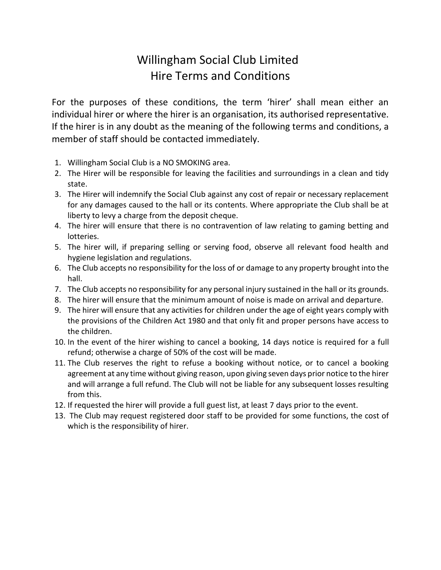## Willingham Social Club Limited Hire Terms and Conditions

For the purposes of these conditions, the term 'hirer' shall mean either an individual hirer or where the hirer is an organisation, its authorised representative. If the hirer is in any doubt as the meaning of the following terms and conditions, a member of staff should be contacted immediately.

- 1. Willingham Social Club is a NO SMOKING area.
- 2. The Hirer will be responsible for leaving the facilities and surroundings in a clean and tidy state.
- 3. The Hirer will indemnify the Social Club against any cost of repair or necessary replacement for any damages caused to the hall or its contents. Where appropriate the Club shall be at liberty to levy a charge from the deposit cheque.
- 4. The hirer will ensure that there is no contravention of law relating to gaming betting and lotteries.
- 5. The hirer will, if preparing selling or serving food, observe all relevant food health and hygiene legislation and regulations.
- 6. The Club accepts no responsibility for the loss of or damage to any property brought into the hall.
- 7. The Club accepts no responsibility for any personal injury sustained in the hall or its grounds.
- 8. The hirer will ensure that the minimum amount of noise is made on arrival and departure.
- 9. The hirer will ensure that any activities for children under the age of eight years comply with the provisions of the Children Act 1980 and that only fit and proper persons have access to the children.
- 10. In the event of the hirer wishing to cancel a booking, 14 days notice is required for a full refund; otherwise a charge of 50% of the cost will be made.
- 11. The Club reserves the right to refuse a booking without notice, or to cancel a booking agreement at any time without giving reason, upon giving seven days prior notice to the hirer and will arrange a full refund. The Club will not be liable for any subsequent losses resulting from this.
- 12. If requested the hirer will provide a full guest list, at least 7 days prior to the event.
- 13. The Club may request registered door staff to be provided for some functions, the cost of which is the responsibility of hirer.